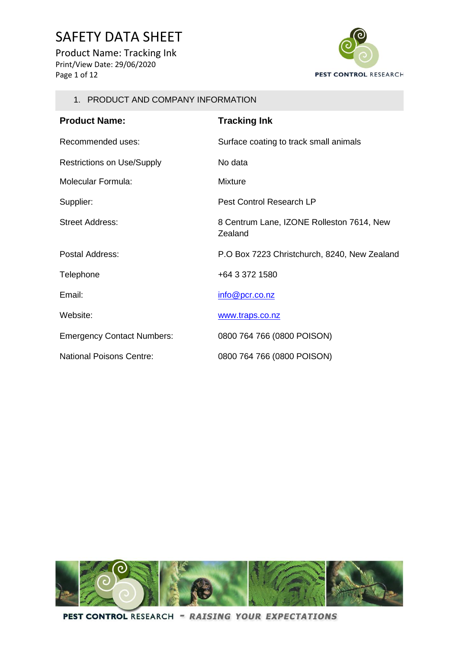Product Name: Tracking Ink Print/View Date: 29/06/2020 Page 1 of 12



#### 1. PRODUCT AND COMPANY INFORMATION

| <b>Product Name:</b>              | <b>Tracking Ink</b>                                  |
|-----------------------------------|------------------------------------------------------|
| Recommended uses:                 | Surface coating to track small animals               |
| <b>Restrictions on Use/Supply</b> | No data                                              |
| <b>Molecular Formula:</b>         | <b>Mixture</b>                                       |
| Supplier:                         | Pest Control Research LP                             |
| Street Address:                   | 8 Centrum Lane, IZONE Rolleston 7614, New<br>Zealand |
| Postal Address:                   | P.O Box 7223 Christchurch, 8240, New Zealand         |
| Telephone                         | +64 3 372 1580                                       |
| Email:                            | info@pcr.co.nz                                       |
| Website:                          | www.traps.co.nz                                      |
| <b>Emergency Contact Numbers:</b> | 0800 764 766 (0800 POISON)                           |
| National Poisons Centre:          | 0800 764 766 (0800 POISON)                           |

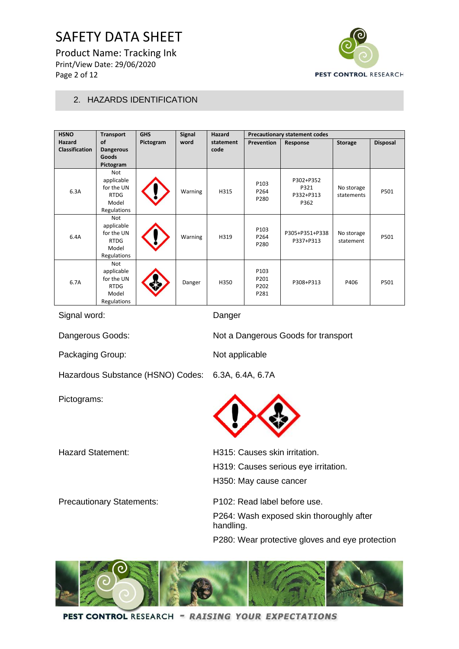Product Name: Tracking Ink Print/View Date: 29/06/2020 Page 2 of 12



### 2. HAZARDS IDENTIFICATION

| <b>HSNO</b>           | <b>Transport</b> | <b>GHS</b> | <b>Signal</b> | Hazard    | <b>Precautionary statement codes</b> |                |                |                 |
|-----------------------|------------------|------------|---------------|-----------|--------------------------------------|----------------|----------------|-----------------|
| Hazard                | <b>of</b>        | Pictogram  | word          | statement | Prevention                           | Response       | <b>Storage</b> | <b>Disposal</b> |
| <b>Classification</b> | <b>Dangerous</b> |            |               | code      |                                      |                |                |                 |
|                       | Goods            |            |               |           |                                      |                |                |                 |
|                       | Pictogram        |            |               |           |                                      |                |                |                 |
|                       | Not              |            |               |           |                                      |                |                |                 |
|                       | applicable       |            |               |           | P103                                 | P302+P352      |                |                 |
| 6.3A                  | for the UN       |            | Warning       | H315      | P264                                 | P321           | No storage     | P501            |
|                       | <b>RTDG</b>      |            |               |           | P280                                 | P332+P313      | statements     |                 |
|                       | Model            |            |               |           |                                      | P362           |                |                 |
|                       | Regulations      |            |               |           |                                      |                |                |                 |
|                       | Not              |            |               |           |                                      |                |                |                 |
|                       | applicable       |            |               |           | P103                                 |                |                |                 |
| 6.4A                  | for the UN       |            | Warning       | H319      | P264                                 | P305+P351+P338 | No storage     | P501            |
|                       | <b>RTDG</b>      |            |               |           | P280                                 | P337+P313      | statement      |                 |
|                       | Model            |            |               |           |                                      |                |                |                 |
|                       | Regulations      |            |               |           |                                      |                |                |                 |
|                       | Not              |            |               |           |                                      |                |                |                 |
|                       | applicable       |            |               |           | P103                                 |                |                |                 |
| 6.7A                  | for the UN       |            | Danger        | H350      | P201                                 | P308+P313      | P406           | P501            |
|                       | <b>RTDG</b>      |            |               |           | P202                                 |                |                |                 |
|                       | Model            |            |               |           | P281                                 |                |                |                 |
|                       | Regulations      |            |               |           |                                      |                |                |                 |

Signal word: Danger

Dangerous Goods: Not a Dangerous Goods for transport

Packaging Group: Not applicable

Hazardous Substance (HSNO) Codes: 6.3A, 6.4A, 6.7A

Pictograms:

| <b>Hazard Statement:</b>         | H315: Causes skin irritation.                         |
|----------------------------------|-------------------------------------------------------|
|                                  | H319: Causes serious eye irritation.                  |
|                                  | H350: May cause cancer                                |
| <b>Precautionary Statements:</b> | P <sub>102</sub> : Read label before use.             |
|                                  | P264: Wash exposed skin thoroughly after<br>handling. |
|                                  | P280: Wear protective gloves and eye protection       |

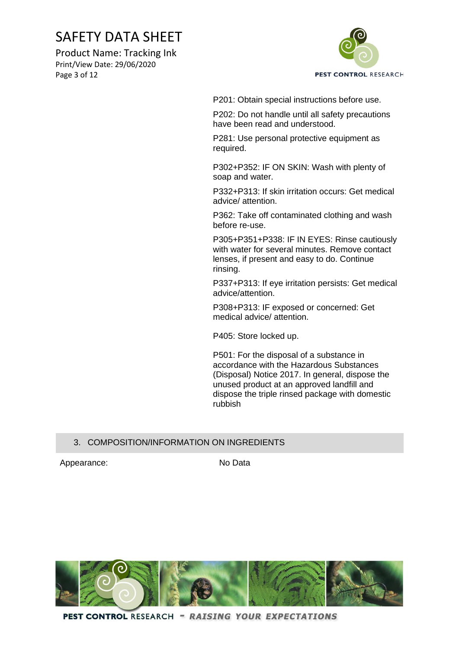Product Name: Tracking Ink Print/View Date: 29/06/2020 Page 3 of 12



P201: Obtain special instructions before use.

P202: Do not handle until all safety precautions have been read and understood.

P281: Use personal protective equipment as required.

P302+P352: IF ON SKIN: Wash with plenty of soap and water.

P332+P313: If skin irritation occurs: Get medical advice/ attention.

P362: Take off contaminated clothing and wash before re-use.

P305+P351+P338: IF IN EYES: Rinse cautiously with water for several minutes. Remove contact lenses, if present and easy to do. Continue rinsing.

P337+P313: If eye irritation persists: Get medical advice/attention.

P308+P313: IF exposed or concerned: Get medical advice/ attention.

P405: Store locked up.

P501: For the disposal of a substance in accordance with the Hazardous Substances (Disposal) Notice 2017. In general, dispose the unused product at an approved landfill and dispose the triple rinsed package with domestic rubbish

### 3. COMPOSITION/INFORMATION ON INGREDIENTS

Appearance: No Data

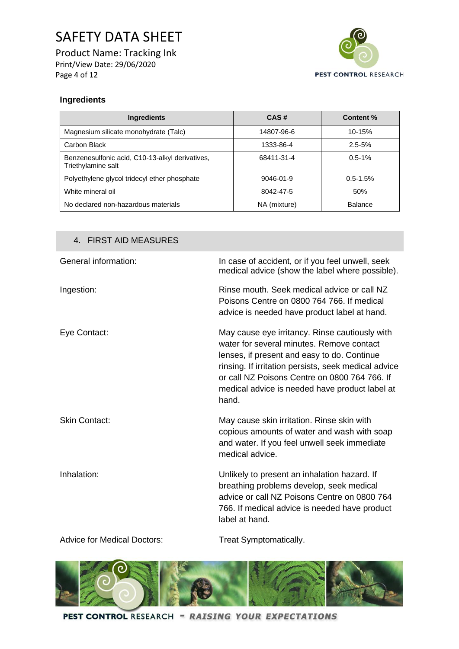Product Name: Tracking Ink Print/View Date: 29/06/2020 Page 4 of 12



### **Ingredients**

| <b>Ingredients</b>                                                    | CAS#         | Content %      |
|-----------------------------------------------------------------------|--------------|----------------|
| Magnesium silicate monohydrate (Talc)                                 | 14807-96-6   | $10 - 15%$     |
| Carbon Black                                                          | 1333-86-4    | $2.5 - 5%$     |
| Benzenesulfonic acid, C10-13-alkyl derivatives,<br>Triethylamine salt | 68411-31-4   | $0.5 - 1\%$    |
| Polyethylene glycol tridecyl ether phosphate                          | 9046-01-9    | $0.5 - 1.5%$   |
| White mineral oil                                                     | 8042-47-5    | 50%            |
| No declared non-hazardous materials                                   | NA (mixture) | <b>Balance</b> |

#### 4. FIRST AID MEASURES

| General information: | In case of accident, or if you feel unwell, seek<br>medical advice (show the label where possible).                                                                                                                                                                                                            |
|----------------------|----------------------------------------------------------------------------------------------------------------------------------------------------------------------------------------------------------------------------------------------------------------------------------------------------------------|
| Ingestion:           | Rinse mouth. Seek medical advice or call NZ<br>Poisons Centre on 0800 764 766. If medical<br>advice is needed have product label at hand.                                                                                                                                                                      |
| Eye Contact:         | May cause eye irritancy. Rinse cautiously with<br>water for several minutes. Remove contact<br>lenses, if present and easy to do. Continue<br>rinsing. If irritation persists, seek medical advice<br>or call NZ Poisons Centre on 0800 764 766. If<br>medical advice is needed have product label at<br>hand. |
| <b>Skin Contact:</b> | May cause skin irritation. Rinse skin with<br>copious amounts of water and wash with soap<br>and water. If you feel unwell seek immediate<br>medical advice.                                                                                                                                                   |
| Inhalation:          | Unlikely to present an inhalation hazard. If<br>breathing problems develop, seek medical<br>advice or call NZ Poisons Centre on 0800 764<br>766. If medical advice is needed have product<br>label at hand.                                                                                                    |

Advice for Medical Doctors: Treat Symptomatically.

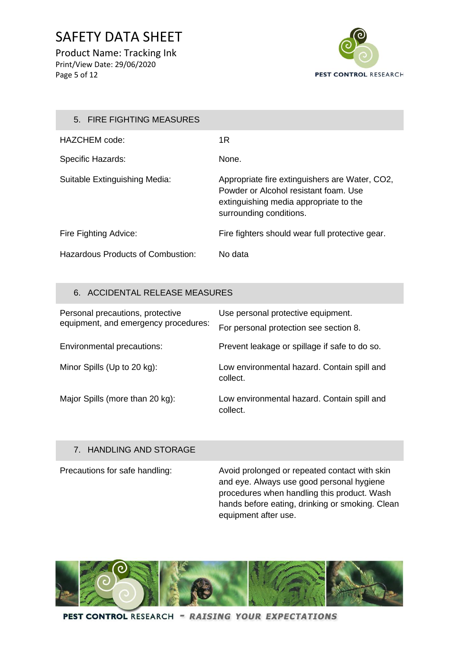Product Name: Tracking Ink Print/View Date: 29/06/2020 Page 5 of 12



### 5. FIRE FIGHTING MEASURES HAZCHEM code: 1R Specific Hazards: None. Suitable Extinguishing Media: Appropriate fire extinguishers are Water, CO2, Powder or Alcohol resistant foam. Use extinguishing media appropriate to the surrounding conditions. Fire Fighting Advice: Fire fighters should wear full protective gear. Hazardous Products of Combustion: No data

### 6. ACCIDENTAL RELEASE MEASURES

| Personal precautions, protective<br>equipment, and emergency procedures: | Use personal protective equipment.                      |  |
|--------------------------------------------------------------------------|---------------------------------------------------------|--|
|                                                                          | For personal protection see section 8.                  |  |
| Environmental precautions:                                               | Prevent leakage or spillage if safe to do so.           |  |
| Minor Spills (Up to 20 kg):                                              | Low environmental hazard. Contain spill and<br>collect. |  |
| Major Spills (more than 20 kg):                                          | Low environmental hazard. Contain spill and<br>collect. |  |

### 7. HANDLING AND STORAGE

Precautions for safe handling: Avoid prolonged or repeated contact with skin and eye. Always use good personal hygiene procedures when handling this product. Wash hands before eating, drinking or smoking. Clean equipment after use.

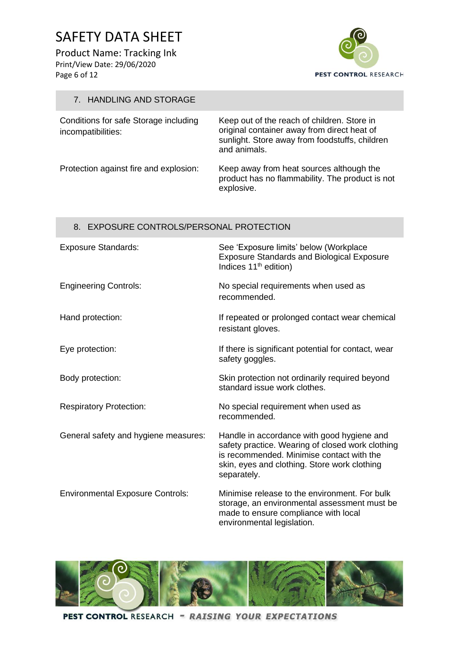Product Name: Tracking Ink Print/View Date: 29/06/2020 Page 6 of 12



### 7. HANDLING AND STORAGE

| Conditions for safe Storage including<br>incompatibilities: | Keep out of the reach of children. Store in<br>original container away from direct heat of<br>sunlight. Store away from foodstuffs, children<br>and animals. |  |
|-------------------------------------------------------------|--------------------------------------------------------------------------------------------------------------------------------------------------------------|--|
| Protection against fire and explosion:                      | Keep away from heat sources although the<br>product has no flammability. The product is not                                                                  |  |

explosive.

### 8. EXPOSURE CONTROLS/PERSONAL PROTECTION

| <b>Exposure Standards:</b>              | See 'Exposure limits' below (Workplace<br><b>Exposure Standards and Biological Exposure</b><br>Indices 11 <sup>th</sup> edition)                                                                           |
|-----------------------------------------|------------------------------------------------------------------------------------------------------------------------------------------------------------------------------------------------------------|
| <b>Engineering Controls:</b>            | No special requirements when used as<br>recommended.                                                                                                                                                       |
| Hand protection:                        | If repeated or prolonged contact wear chemical<br>resistant gloves.                                                                                                                                        |
| Eye protection:                         | If there is significant potential for contact, wear<br>safety goggles.                                                                                                                                     |
| Body protection:                        | Skin protection not ordinarily required beyond<br>standard issue work clothes.                                                                                                                             |
| <b>Respiratory Protection:</b>          | No special requirement when used as<br>recommended.                                                                                                                                                        |
| General safety and hygiene measures:    | Handle in accordance with good hygiene and<br>safety practice. Wearing of closed work clothing<br>is recommended. Minimise contact with the<br>skin, eyes and clothing. Store work clothing<br>separately. |
| <b>Environmental Exposure Controls:</b> | Minimise release to the environment. For bulk<br>storage, an environmental assessment must be<br>made to ensure compliance with local<br>environmental legislation.                                        |

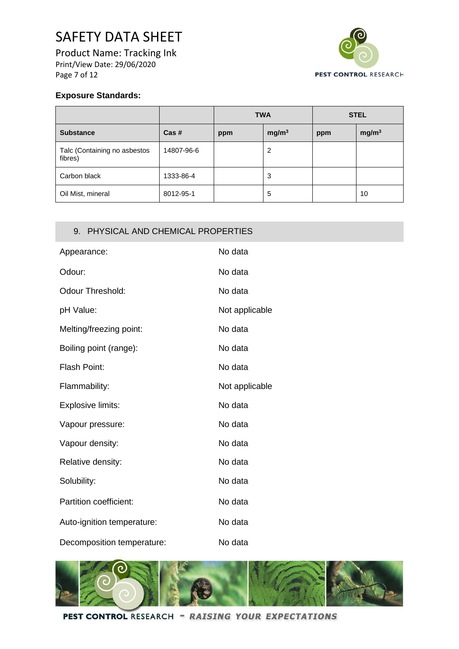Product Name: Tracking Ink Print/View Date: 29/06/2020 Page 7 of 12



### **Exposure Standards:**

|                                         |                 | <b>TWA</b> |                   | <b>STEL</b> |                   |
|-----------------------------------------|-----------------|------------|-------------------|-------------|-------------------|
| <b>Substance</b>                        | $\text{Cas}\;#$ | ppm        | mg/m <sup>3</sup> | ppm         | mg/m <sup>3</sup> |
| Talc (Containing no asbestos<br>fibres) | 14807-96-6      |            | 2                 |             |                   |
| Carbon black                            | 1333-86-4       |            | 3                 |             |                   |
| Oil Mist, mineral                       | 8012-95-1       |            | 5                 |             | 10                |

### 9. PHYSICAL AND CHEMICAL PROPERTIES

| Appearance:                | No data        |
|----------------------------|----------------|
| Odour:                     | No data        |
| Odour Threshold:           | No data        |
| pH Value:                  | Not applicable |
| Melting/freezing point:    | No data        |
| Boiling point (range):     | No data        |
| <b>Flash Point:</b>        | No data        |
| Flammability:              | Not applicable |
| Explosive limits:          | No data        |
| Vapour pressure:           | No data        |
| Vapour density:            | No data        |
| Relative density:          | No data        |
| Solubility:                | No data        |
| Partition coefficient:     | No data        |
| Auto-ignition temperature: | No data        |
| Decomposition temperature: | No data        |

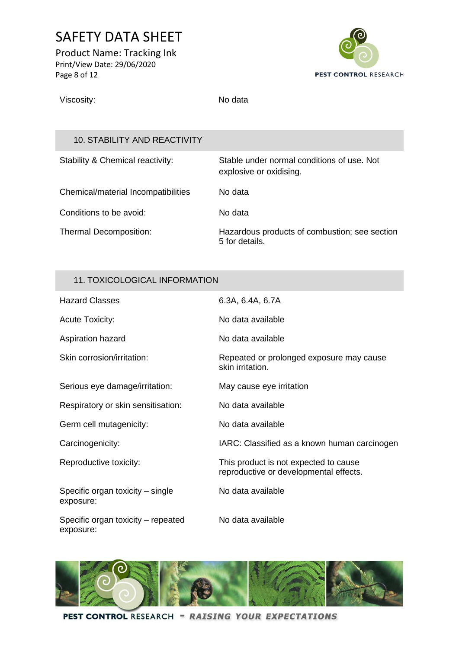Product Name: Tracking Ink Print/View Date: 29/06/2020 Page 8 of 12



Viscosity: No data

5 for details.

### 10. STABILITY AND REACTIVITY

| Stability & Chemical reactivity:    | Stable under normal conditions of use. Not<br>explosive or oxidising. |
|-------------------------------------|-----------------------------------------------------------------------|
| Chemical/material Incompatibilities | No data                                                               |
| Conditions to be avoid:             | No data                                                               |
| <b>Thermal Decomposition:</b>       | Hazardous products of combustion; see section                         |

### 11. TOXICOLOGICAL INFORMATION

| <b>Hazard Classes</b>                           | 6.3A, 6.4A, 6.7A                                                                |
|-------------------------------------------------|---------------------------------------------------------------------------------|
| <b>Acute Toxicity:</b>                          | No data available                                                               |
| Aspiration hazard                               | No data available                                                               |
| Skin corrosion/irritation:                      | Repeated or prolonged exposure may cause<br>skin irritation.                    |
| Serious eye damage/irritation:                  | May cause eye irritation                                                        |
| Respiratory or skin sensitisation:              | No data available                                                               |
| Germ cell mutagenicity:                         | No data available                                                               |
| Carcinogenicity:                                | IARC: Classified as a known human carcinogen                                    |
| Reproductive toxicity:                          | This product is not expected to cause<br>reproductive or developmental effects. |
| Specific organ toxicity – single<br>exposure:   | No data available                                                               |
| Specific organ toxicity – repeated<br>exposure: | No data available                                                               |

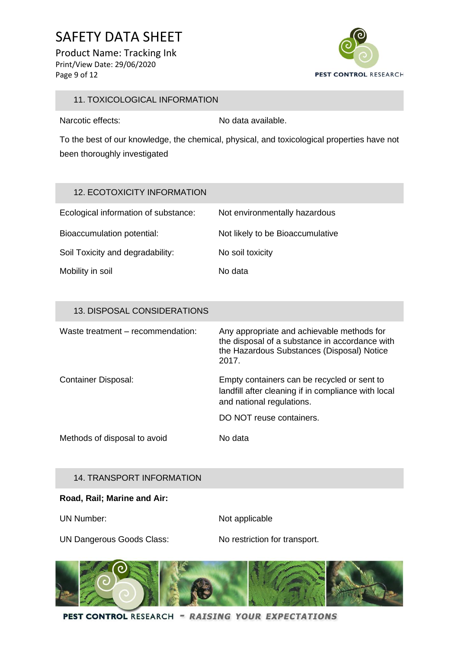Product Name: Tracking Ink Print/View Date: 29/06/2020 Page 9 of 12



### 11. TOXICOLOGICAL INFORMATION

Narcotic effects: No data available.

To the best of our knowledge, the chemical, physical, and toxicological properties have not been thoroughly investigated

### 12. ECOTOXICITY INFORMATION

| Ecological information of substance: | Not environmentally hazardous    |
|--------------------------------------|----------------------------------|
| Bioaccumulation potential:           | Not likely to be Bioaccumulative |
| Soil Toxicity and degradability:     | No soil toxicity                 |
| Mobility in soil                     | No data                          |

### 13. DISPOSAL CONSIDERATIONS

| Waste treatment – recommendation: | Any appropriate and achievable methods for<br>the disposal of a substance in accordance with<br>the Hazardous Substances (Disposal) Notice<br>2017. |
|-----------------------------------|-----------------------------------------------------------------------------------------------------------------------------------------------------|
| <b>Container Disposal:</b>        | Empty containers can be recycled or sent to<br>landfill after cleaning if in compliance with local<br>and national regulations.                     |
|                                   | DO NOT reuse containers.                                                                                                                            |
| Methods of disposal to avoid      | No data                                                                                                                                             |

#### 14. TRANSPORT INFORMATION

#### **Road, Rail; Marine and Air:**

UN Number: Not applicable

UN Dangerous Goods Class: No restriction for transport.

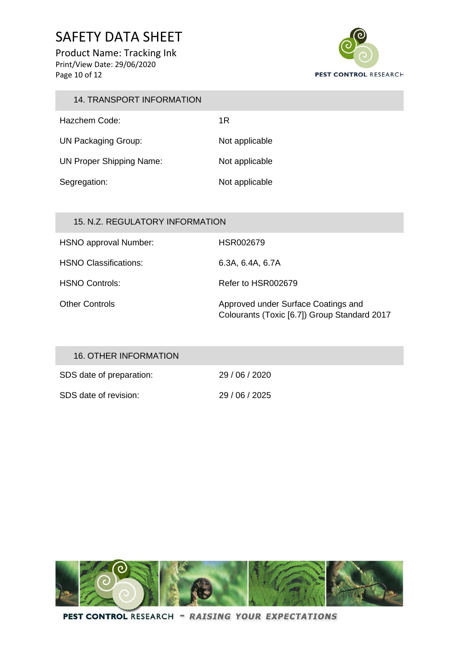Product Name: Tracking Ink Print/View Date: 29/06/2020 Page 10 of 12

**CO** 



| 14. TRANSPORT INFORMATION       |                |
|---------------------------------|----------------|
| Hazchem Code:                   | 1R             |
| <b>UN Packaging Group:</b>      | Not applicable |
| <b>UN Proper Shipping Name:</b> | Not applicable |
| Segregation:                    | Not applicable |
|                                 |                |

| 15. N.Z. REGULATORY INFORMATION |                                                                                     |
|---------------------------------|-------------------------------------------------------------------------------------|
| HSNO approval Number:           | HSR002679                                                                           |
| <b>HSNO Classifications:</b>    | 6.3A, 6.4A, 6.7A                                                                    |
| HSNO Controls:                  | Refer to HSR002679                                                                  |
| <b>Other Controls</b>           | Approved under Surface Coatings and<br>Colourants (Toxic [6.7]) Group Standard 2017 |

| 16. OTHER INFORMATION    |            |
|--------------------------|------------|
| SDS date of preparation: | 29/06/2020 |
| SDS date of revision:    | 29/06/2025 |

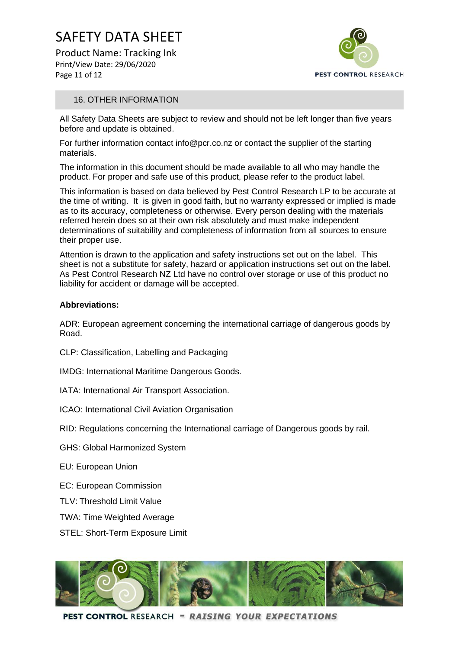Product Name: Tracking Ink Print/View Date: 29/06/2020 Page 11 of 12



#### 16. OTHER INFORMATION

All Safety Data Sheets are subject to review and should not be left longer than five years before and update is obtained.

For further information contact info@pcr.co.nz or contact the supplier of the starting materials.

The information in this document should be made available to all who may handle the product. For proper and safe use of this product, please refer to the product label.

This information is based on data believed by Pest Control Research LP to be accurate at the time of writing. It is given in good faith, but no warranty expressed or implied is made as to its accuracy, completeness or otherwise. Every person dealing with the materials referred herein does so at their own risk absolutely and must make independent determinations of suitability and completeness of information from all sources to ensure their proper use.

Attention is drawn to the application and safety instructions set out on the label. This sheet is not a substitute for safety, hazard or application instructions set out on the label. As Pest Control Research NZ Ltd have no control over storage or use of this product no liability for accident or damage will be accepted.

#### **Abbreviations:**

ADR: European agreement concerning the international carriage of dangerous goods by Road.

- CLP: Classification, Labelling and Packaging
- IMDG: International Maritime Dangerous Goods.
- IATA: International Air Transport Association.
- ICAO: International Civil Aviation Organisation

RID: Regulations concerning the International carriage of Dangerous goods by rail.

- GHS: Global Harmonized System
- EU: European Union
- EC: European Commission
- TLV: Threshold Limit Value
- TWA: Time Weighted Average
- STEL: Short-Term Exposure Limit